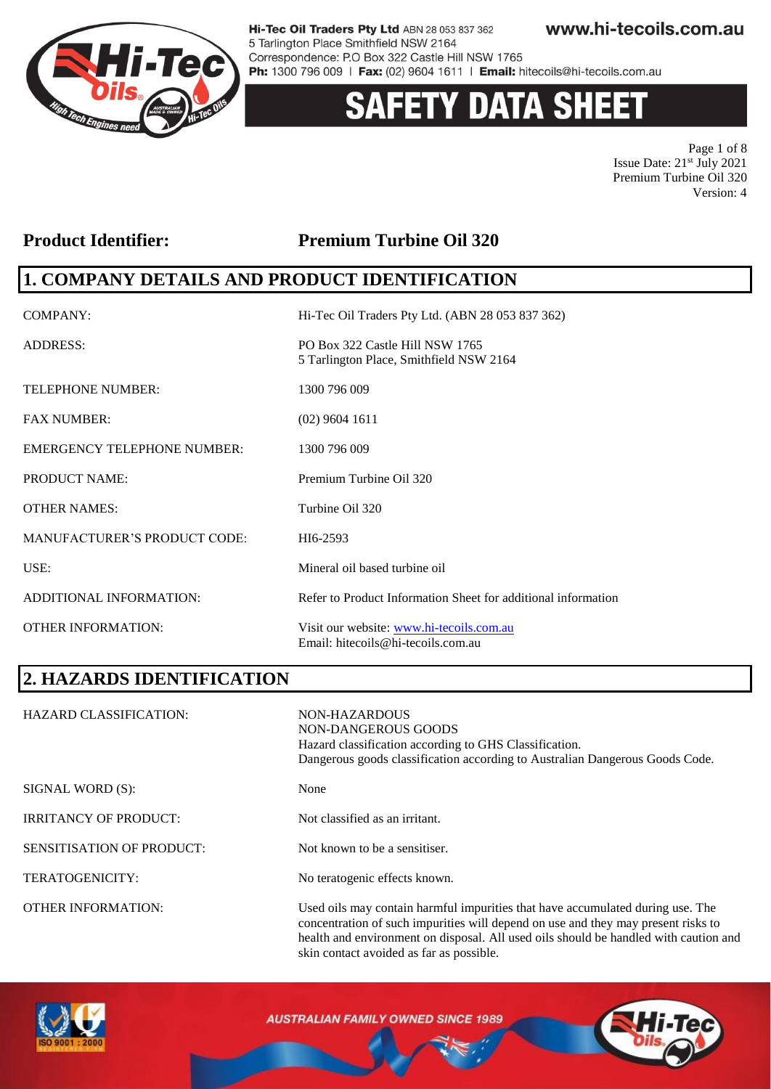

# **ETY DATA SHEET**

Page 1 of 8 Issue Date: 21st July 2021 Premium Turbine Oil 320 Version: 4

#### **Product Identifier: Premium Turbine Oil 320**

### **1. COMPANY DETAILS AND PRODUCT IDENTIFICATION**

| COMPANY:                            | Hi-Tec Oil Traders Pty Ltd. (ABN 28 053 837 362)                               |
|-------------------------------------|--------------------------------------------------------------------------------|
| <b>ADDRESS:</b>                     | PO Box 322 Castle Hill NSW 1765<br>5 Tarlington Place, Smithfield NSW 2164     |
| <b>TELEPHONE NUMBER:</b>            | 1300 796 009                                                                   |
| <b>FAX NUMBER:</b>                  | $(02)$ 9604 1611                                                               |
| <b>EMERGENCY TELEPHONE NUMBER:</b>  | 1300 796 009                                                                   |
| <b>PRODUCT NAME:</b>                | Premium Turbine Oil 320                                                        |
| <b>OTHER NAMES:</b>                 | Turbine Oil 320                                                                |
| <b>MANUFACTURER'S PRODUCT CODE:</b> | HI6-2593                                                                       |
| USE:                                | Mineral oil based turbine oil                                                  |
| ADDITIONAL INFORMATION:             | Refer to Product Information Sheet for additional information                  |
| <b>OTHER INFORMATION:</b>           | Visit our website: www.hi-tecoils.com.au<br>Email: hitecoils@hi-tecoils.com.au |

# **2. HAZARDS IDENTIFICATION**

| <b>HAZARD CLASSIFICATION:</b>    | NON-HAZARDOUS<br>NON-DANGEROUS GOODS<br>Hazard classification according to GHS Classification.<br>Dangerous goods classification according to Australian Dangerous Goods Code.                                                                              |
|----------------------------------|-------------------------------------------------------------------------------------------------------------------------------------------------------------------------------------------------------------------------------------------------------------|
| SIGNAL WORD (S):                 | None                                                                                                                                                                                                                                                        |
| <b>IRRITANCY OF PRODUCT:</b>     | Not classified as an irritant.                                                                                                                                                                                                                              |
| <b>SENSITISATION OF PRODUCT:</b> | Not known to be a sensitiser.                                                                                                                                                                                                                               |
| TERATOGENICITY:                  | No teratogenic effects known.                                                                                                                                                                                                                               |
| <b>OTHER INFORMATION:</b>        | Used oils may contain harmful impurities that have accumulated during use. The<br>concentration of such impurities will depend on use and they may present risks to<br>health and environment on disposal. All used oils should be handled with caution and |



**AUSTRALIAN FAMILY OWNED SINCE 1989** 

skin contact avoided as far as possible.

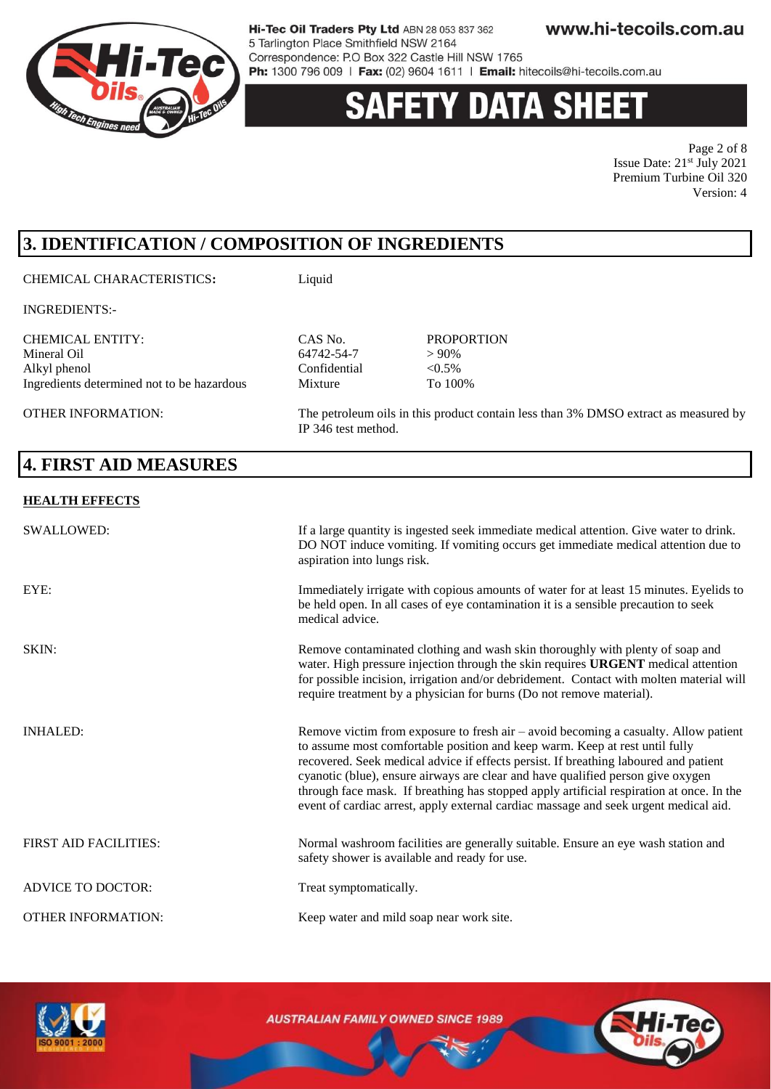

# 'Y DATA SHEET

Page 2 of 8 Issue Date:  $21^{st}$  July 2021 Premium Turbine Oil 320 Version: 4

# **3. IDENTIFICATION / COMPOSITION OF INGREDIENTS**

#### CHEMICAL CHARACTERISTICS**:** Liquid

INGREDIENTS:-

CHEMICAL ENTITY: CAS No. PROPORTION Alkyl phenol Confidential Ingredients determined not to be hazardous Mixture To 100%

OTHER INFORMATION: The petroleum oils in this product contain less than 3% DMSO extract as measured by

### **4. FIRST AID MEASURES**

#### **HEALTH EFFECTS**

| <b>SWALLOWED:</b>            | If a large quantity is ingested seek immediate medical attention. Give water to drink.<br>DO NOT induce vomiting. If vomiting occurs get immediate medical attention due to<br>aspiration into lungs risk.                                                                                                                                                                                                                                                                                                                          |
|------------------------------|-------------------------------------------------------------------------------------------------------------------------------------------------------------------------------------------------------------------------------------------------------------------------------------------------------------------------------------------------------------------------------------------------------------------------------------------------------------------------------------------------------------------------------------|
| EYE:                         | Immediately irrigate with copious amounts of water for at least 15 minutes. Eyelids to<br>be held open. In all cases of eye contamination it is a sensible precaution to seek<br>medical advice.                                                                                                                                                                                                                                                                                                                                    |
| SKIN:                        | Remove contaminated clothing and wash skin thoroughly with plenty of soap and<br>water. High pressure injection through the skin requires URGENT medical attention<br>for possible incision, irrigation and/or debridement. Contact with molten material will<br>require treatment by a physician for burns (Do not remove material).                                                                                                                                                                                               |
| <b>INHALED:</b>              | Remove victim from exposure to fresh air $-$ avoid becoming a casualty. Allow patient<br>to assume most comfortable position and keep warm. Keep at rest until fully<br>recovered. Seek medical advice if effects persist. If breathing laboured and patient<br>cyanotic (blue), ensure airways are clear and have qualified person give oxygen<br>through face mask. If breathing has stopped apply artificial respiration at once. In the<br>event of cardiac arrest, apply external cardiac massage and seek urgent medical aid. |
| <b>FIRST AID FACILITIES:</b> | Normal washroom facilities are generally suitable. Ensure an eye wash station and<br>safety shower is available and ready for use.                                                                                                                                                                                                                                                                                                                                                                                                  |
| <b>ADVICE TO DOCTOR:</b>     | Treat symptomatically.                                                                                                                                                                                                                                                                                                                                                                                                                                                                                                              |
| <b>OTHER INFORMATION:</b>    | Keep water and mild soap near work site.                                                                                                                                                                                                                                                                                                                                                                                                                                                                                            |

 $64742-54-7$   $>90\%$ <br>Confidential  $<0.5\%$ 

IP 346 test method.



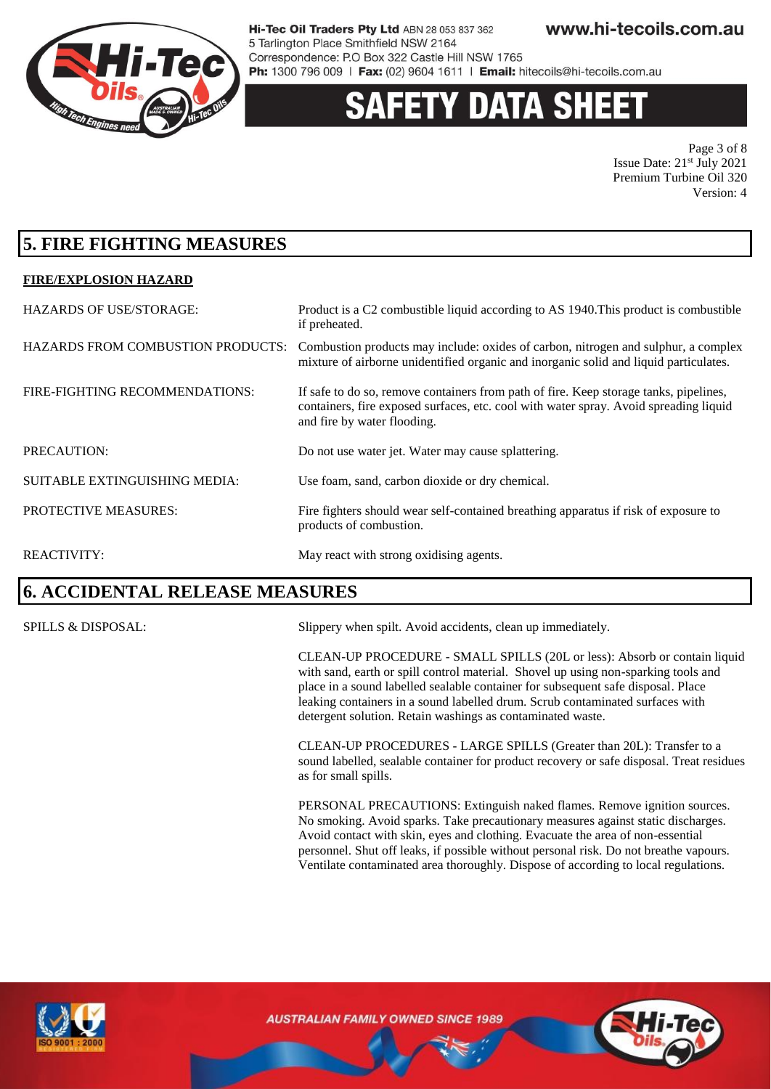

# 'Y DATA SHEE

Page 3 of 8 Issue Date: 21st July 2021 Premium Turbine Oil 320 Version: 4

### **5. FIRE FIGHTING MEASURES**

#### **FIRE/EXPLOSION HAZARD**

| <b>HAZARDS OF USE/STORAGE:</b>           | Product is a C2 combustible liquid according to AS 1940. This product is combustible<br>if preheated.                                                                                                         |
|------------------------------------------|---------------------------------------------------------------------------------------------------------------------------------------------------------------------------------------------------------------|
| <b>HAZARDS FROM COMBUSTION PRODUCTS:</b> | Combustion products may include: oxides of carbon, nitrogen and sulphur, a complex<br>mixture of airborne unidentified organic and inorganic solid and liquid particulates.                                   |
| FIRE-FIGHTING RECOMMENDATIONS:           | If safe to do so, remove containers from path of fire. Keep storage tanks, pipelines,<br>containers, fire exposed surfaces, etc. cool with water spray. Avoid spreading liquid<br>and fire by water flooding. |
| PRECAUTION:                              | Do not use water jet. Water may cause splattering.                                                                                                                                                            |
| SUITABLE EXTINGUISHING MEDIA:            | Use foam, sand, carbon dioxide or dry chemical.                                                                                                                                                               |
| PROTECTIVE MEASURES:                     | Fire fighters should wear self-contained breathing apparatus if risk of exposure to<br>products of combustion.                                                                                                |
| <b>REACTIVITY:</b>                       | May react with strong oxidising agents.                                                                                                                                                                       |

#### **6. ACCIDENTAL RELEASE MEASURES**

SPILLS & DISPOSAL: Slippery when spilt. Avoid accidents, clean up immediately.

CLEAN-UP PROCEDURE - SMALL SPILLS (20L or less): Absorb or contain liquid with sand, earth or spill control material. Shovel up using non-sparking tools and place in a sound labelled sealable container for subsequent safe disposal. Place leaking containers in a sound labelled drum. Scrub contaminated surfaces with detergent solution. Retain washings as contaminated waste.

CLEAN-UP PROCEDURES - LARGE SPILLS (Greater than 20L): Transfer to a sound labelled, sealable container for product recovery or safe disposal. Treat residues as for small spills.

PERSONAL PRECAUTIONS: Extinguish naked flames. Remove ignition sources. No smoking. Avoid sparks. Take precautionary measures against static discharges. Avoid contact with skin, eyes and clothing. Evacuate the area of non-essential personnel. Shut off leaks, if possible without personal risk. Do not breathe vapours. Ventilate contaminated area thoroughly. Dispose of according to local regulations.



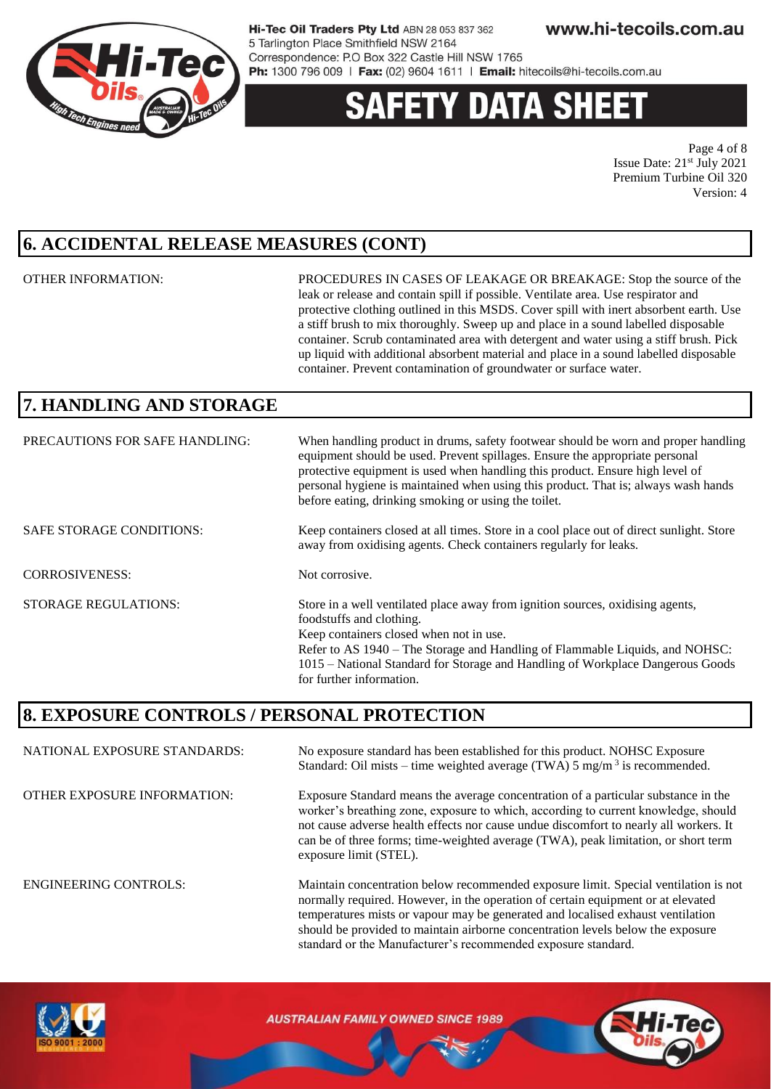

# 'Y DATA SHEE

Page 4 of 8 Issue Date: 21st July 2021 Premium Turbine Oil 320 Version: 4

### **6. ACCIDENTAL RELEASE MEASURES (CONT)**

OTHER INFORMATION: PROCEDURES IN CASES OF LEAKAGE OR BREAKAGE: Stop the source of the leak or release and contain spill if possible. Ventilate area. Use respirator and protective clothing outlined in this MSDS. Cover spill with inert absorbent earth. Use a stiff brush to mix thoroughly. Sweep up and place in a sound labelled disposable container. Scrub contaminated area with detergent and water using a stiff brush. Pick up liquid with additional absorbent material and place in a sound labelled disposable container. Prevent contamination of groundwater or surface water.

should be provided to maintain airborne concentration levels below the exposure

standard or the Manufacturer's recommended exposure standard.

## **7. HANDLING AND STORAGE**

| PRECAUTIONS FOR SAFE HANDLING:  | When handling product in drums, safety footwear should be worn and proper handling<br>equipment should be used. Prevent spillages. Ensure the appropriate personal<br>protective equipment is used when handling this product. Ensure high level of<br>personal hygiene is maintained when using this product. That is; always wash hands<br>before eating, drinking smoking or using the toilet. |
|---------------------------------|---------------------------------------------------------------------------------------------------------------------------------------------------------------------------------------------------------------------------------------------------------------------------------------------------------------------------------------------------------------------------------------------------|
| <b>SAFE STORAGE CONDITIONS:</b> | Keep containers closed at all times. Store in a cool place out of direct sunlight. Store<br>away from oxidising agents. Check containers regularly for leaks.                                                                                                                                                                                                                                     |
| <b>CORROSIVENESS:</b>           | Not corrosive.                                                                                                                                                                                                                                                                                                                                                                                    |
| <b>STORAGE REGULATIONS:</b>     | Store in a well ventilated place away from ignition sources, oxidising agents,<br>foodstuffs and clothing.<br>Keep containers closed when not in use.<br>Refer to AS 1940 – The Storage and Handling of Flammable Liquids, and NOHSC:<br>1015 – National Standard for Storage and Handling of Workplace Dangerous Goods<br>for further information.                                               |

### **8. EXPOSURE CONTROLS / PERSONAL PROTECTION**

NATIONAL EXPOSURE STANDARDS: No exposure standard has been established for this product. NOHSC Exposure Standard: Oil mists – time weighted average (TWA)  $5 \text{ mg/m}^3$  is recommended. OTHER EXPOSURE INFORMATION: Exposure Standard means the average concentration of a particular substance in the worker's breathing zone, exposure to which, according to current knowledge, should not cause adverse health effects nor cause undue discomfort to nearly all workers. It can be of three forms; time-weighted average (TWA), peak limitation, or short term exposure limit (STEL). ENGINEERING CONTROLS: Maintain concentration below recommended exposure limit. Special ventilation is not normally required. However, in the operation of certain equipment or at elevated temperatures mists or vapour may be generated and localised exhaust ventilation

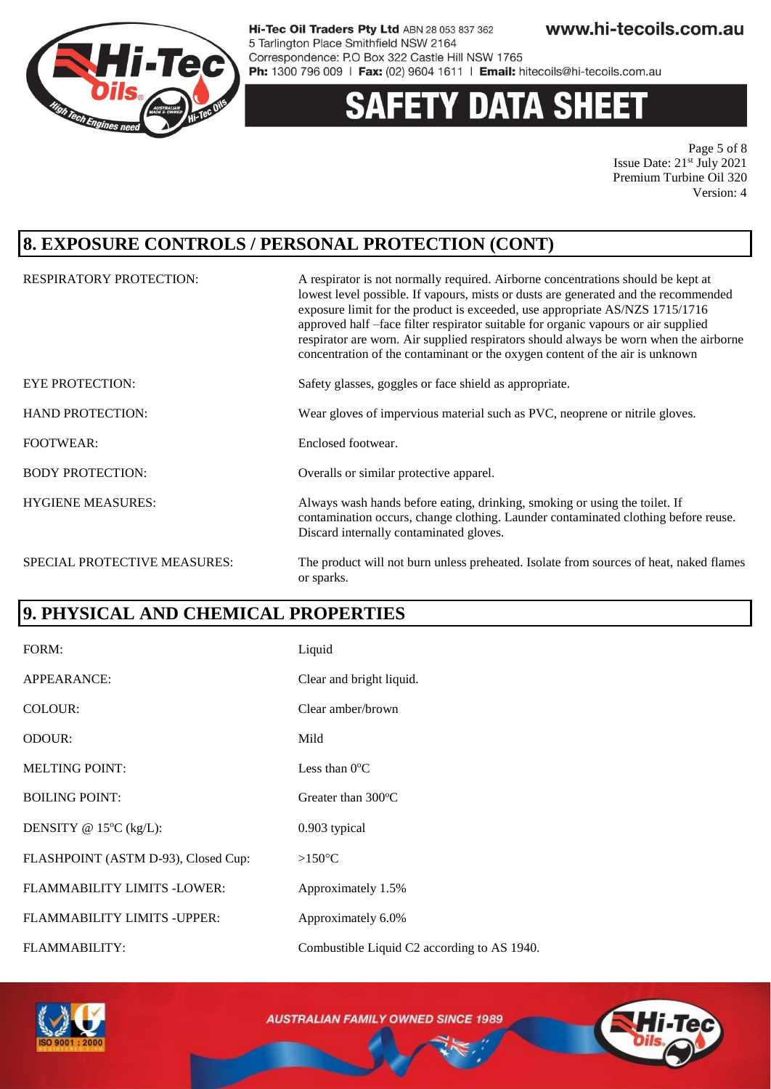

#### **DATA SHEET** Y

Page 5 of 8 Issue Date: 21st July 2021 Premium Turbine Oil 320 Version: 4

### **8. EXPOSURE CONTROLS / PERSONAL PROTECTION (CONT)**

| <b>RESPIRATORY PROTECTION:</b> | A respirator is not normally required. Airborne concentrations should be kept at<br>lowest level possible. If vapours, mists or dusts are generated and the recommended<br>exposure limit for the product is exceeded, use appropriate AS/NZS 1715/1716<br>approved half -face filter respirator suitable for organic vapours or air supplied<br>respirator are worn. Air supplied respirators should always be worn when the airborne<br>concentration of the contaminant or the oxygen content of the air is unknown |
|--------------------------------|------------------------------------------------------------------------------------------------------------------------------------------------------------------------------------------------------------------------------------------------------------------------------------------------------------------------------------------------------------------------------------------------------------------------------------------------------------------------------------------------------------------------|
| <b>EYE PROTECTION:</b>         | Safety glasses, goggles or face shield as appropriate.                                                                                                                                                                                                                                                                                                                                                                                                                                                                 |
| <b>HAND PROTECTION:</b>        | Wear gloves of impervious material such as PVC, neoprene or nitrile gloves.                                                                                                                                                                                                                                                                                                                                                                                                                                            |
| <b>FOOTWEAR:</b>               | Enclosed footwear.                                                                                                                                                                                                                                                                                                                                                                                                                                                                                                     |
| <b>BODY PROTECTION:</b>        | Overalls or similar protective apparel.                                                                                                                                                                                                                                                                                                                                                                                                                                                                                |
| <b>HYGIENE MEASURES:</b>       | Always wash hands before eating, drinking, smoking or using the toilet. If<br>contamination occurs, change clothing. Launder contaminated clothing before reuse.<br>Discard internally contaminated gloves.                                                                                                                                                                                                                                                                                                            |
| SPECIAL PROTECTIVE MEASURES:   | The product will not burn unless preheated. Isolate from sources of heat, naked flames<br>or sparks.                                                                                                                                                                                                                                                                                                                                                                                                                   |

### **9. PHYSICAL AND CHEMICAL PROPERTIES**

| FORM:                               | Liquid                                      |
|-------------------------------------|---------------------------------------------|
| APPEARANCE:                         | Clear and bright liquid.                    |
| COLOUR:                             | Clear amber/brown                           |
| <b>ODOUR:</b>                       | Mild                                        |
| <b>MELTING POINT:</b>               | Less than $0^{\circ}$ C                     |
| <b>BOILING POINT:</b>               | Greater than $300^{\circ}$ C                |
| DENSITY @ $15^{\circ}$ C (kg/L):    | 0.903 typical                               |
| FLASHPOINT (ASTM D-93), Closed Cup: | $>150^{\circ}$ C                            |
| FLAMMABILITY LIMITS -LOWER:         | Approximately 1.5%                          |
| FLAMMABILITY LIMITS - UPPER:        | Approximately 6.0%                          |
| <b>FLAMMABILITY:</b>                | Combustible Liquid C2 according to AS 1940. |

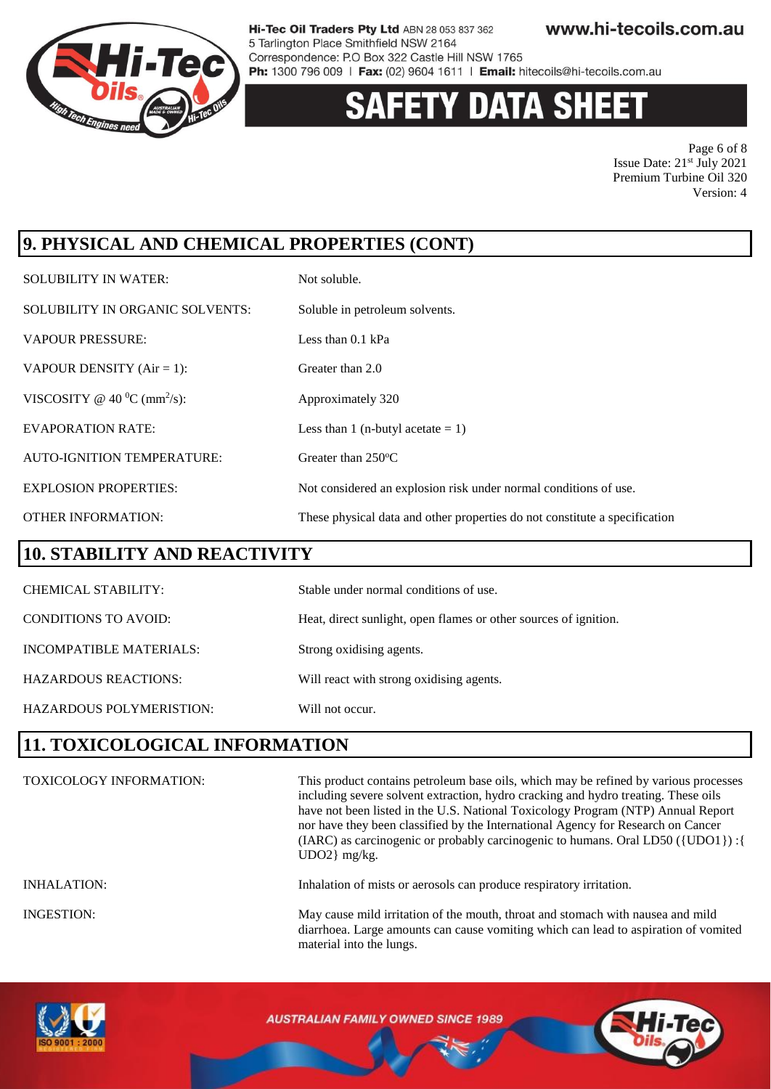

# **Y DATA SHEET**

Page 6 of 8 Issue Date: 21st July 2021 Premium Turbine Oil 320 Version: 4

# **9. PHYSICAL AND CHEMICAL PROPERTIES (CONT)**

| <b>SOLUBILITY IN WATER:</b>                 | Not soluble.                                                               |
|---------------------------------------------|----------------------------------------------------------------------------|
| SOLUBILITY IN ORGANIC SOLVENTS:             | Soluble in petroleum solvents.                                             |
| <b>VAPOUR PRESSURE:</b>                     | Less than $0.1$ kPa                                                        |
| VAPOUR DENSITY $(Air = 1)$ :                | Greater than 2.0                                                           |
| VISCOSITY @ 40 $^0$ C (mm <sup>2</sup> /s): | Approximately 320                                                          |
| <b>EVAPORATION RATE:</b>                    | Less than 1 (n-butyl acetate $= 1$ )                                       |
| <b>AUTO-IGNITION TEMPERATURE:</b>           | Greater than 250°C                                                         |
| <b>EXPLOSION PROPERTIES:</b>                | Not considered an explosion risk under normal conditions of use.           |
| <b>OTHER INFORMATION:</b>                   | These physical data and other properties do not constitute a specification |

#### **10. STABILITY AND REACTIVITY**

| <b>CHEMICAL STABILITY:</b>  | Stable under normal conditions of use.                           |
|-----------------------------|------------------------------------------------------------------|
| <b>CONDITIONS TO AVOID:</b> | Heat, direct sunlight, open flames or other sources of ignition. |
| INCOMPATIBLE MATERIALS:     | Strong oxidising agents.                                         |
| <b>HAZARDOUS REACTIONS:</b> | Will react with strong oxidising agents.                         |
| HAZARDOUS POLYMERISTION:    | Will not occur.                                                  |

### **11. TOXICOLOGICAL INFORMATION**

| <b>TOXICOLOGY INFORMATION:</b> | This product contains petroleum base oils, which may be refined by various processes<br>including severe solvent extraction, hydro cracking and hydro treating. These oils<br>have not been listed in the U.S. National Toxicology Program (NTP) Annual Report<br>nor have they been classified by the International Agency for Research on Cancer<br>(IARC) as carcinogenic or probably carcinogenic to humans. Oral LD50 ({UDO1}) : {<br>$UDO2$ } mg/kg. |
|--------------------------------|------------------------------------------------------------------------------------------------------------------------------------------------------------------------------------------------------------------------------------------------------------------------------------------------------------------------------------------------------------------------------------------------------------------------------------------------------------|
| <b>INHALATION:</b>             | Inhalation of mists or aerosols can produce respiratory irritation.                                                                                                                                                                                                                                                                                                                                                                                        |
| <b>INGESTION:</b>              | May cause mild irritation of the mouth, throat and stomach with nausea and mild<br>diarrhoea. Large amounts can cause vomiting which can lead to aspiration of vomited<br>material into the lungs.                                                                                                                                                                                                                                                         |

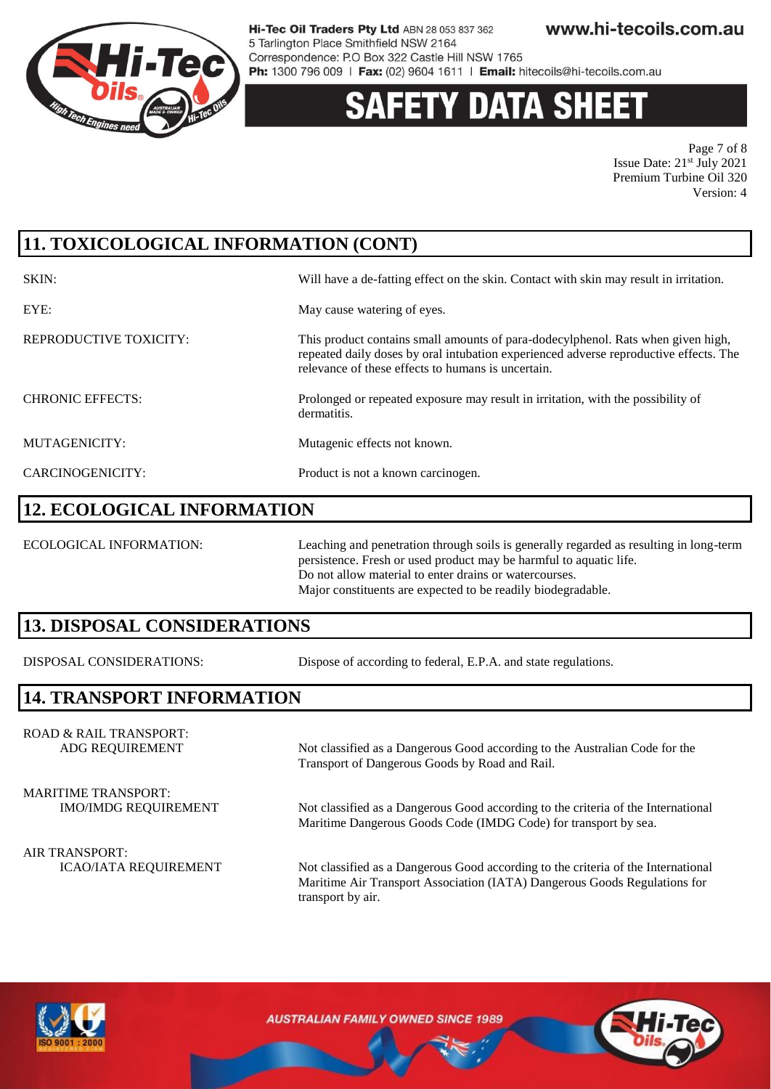

# 'Y DATA SHE

Page 7 of 8 Issue Date: 21st July 2021 Premium Turbine Oil 320 Version: 4

# **11. TOXICOLOGICAL INFORMATION (CONT)**

| SKIN:                   | Will have a de-fatting effect on the skin. Contact with skin may result in irritation.                                                                                                                                          |
|-------------------------|---------------------------------------------------------------------------------------------------------------------------------------------------------------------------------------------------------------------------------|
| EYE:                    | May cause watering of eyes.                                                                                                                                                                                                     |
| REPRODUCTIVE TOXICITY:  | This product contains small amounts of para-dodecylphenol. Rats when given high,<br>repeated daily doses by oral intubation experienced adverse reproductive effects. The<br>relevance of these effects to humans is uncertain. |
| <b>CHRONIC EFFECTS:</b> | Prolonged or repeated exposure may result in irritation, with the possibility of<br>dermatitis.                                                                                                                                 |
| MUTAGENICITY:           | Mutagenic effects not known.                                                                                                                                                                                                    |
| CARCINOGENICITY:        | Product is not a known carcinogen.                                                                                                                                                                                              |

#### **12. ECOLOGICAL INFORMATION**

ECOLOGICAL INFORMATION: Leaching and penetration through soils is generally regarded as resulting in long-term persistence. Fresh or used product may be harmful to aquatic life. Do not allow material to enter drains or watercourses. Major constituents are expected to be readily biodegradable.

### **13. DISPOSAL CONSIDERATIONS**

DISPOSAL CONSIDERATIONS: Dispose of according to federal, E.P.A. and state regulations.

Transport of Dangerous Goods by Road and Rail.

### **14. TRANSPORT INFORMATION**

ROAD & RAIL TRANSPORT: ADG REQUIREMENT Not classified as a Dangerous Good according to the Australian Code for the

MARITIME TRANSPORT:

IMO/IMDG REQUIREMENT Not classified as a Dangerous Good according to the criteria of the International

Maritime Dangerous Goods Code (IMDG Code) for transport by sea.

AIR TRANSPORT:

ICAO/IATA REQUIREMENT Not classified as a Dangerous Good according to the criteria of the International Maritime Air Transport Association (IATA) Dangerous Goods Regulations for transport by air.